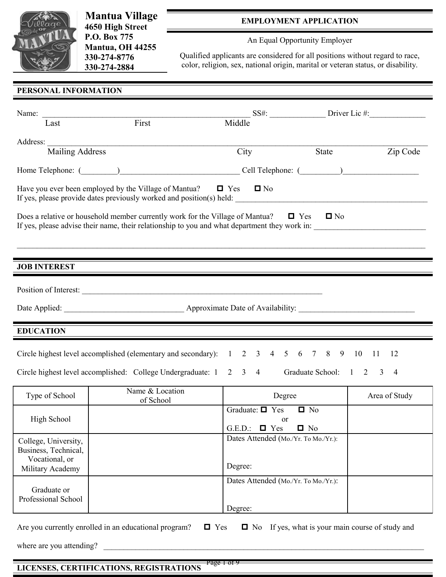

 **Mantua Village 4650 High Street P.O. Box 775 Mantua, OH 44255 330-274-8776 330-274-2884**

#### **EMPLOYMENT APPLICATION**

#### An Equal Opportunity Employer

Qualified applicants are considered for all positions without regard to race, color, religion, sex, national origin, marital or veteran status, or disability.

#### **PERSONAL INFORMATION**

|                                                                | Name: $T_{\text{net}}$ First                                               |                                                                                                                                                                                                                                | $SS#:$ Driver Lic #: |
|----------------------------------------------------------------|----------------------------------------------------------------------------|--------------------------------------------------------------------------------------------------------------------------------------------------------------------------------------------------------------------------------|----------------------|
|                                                                |                                                                            | Middle                                                                                                                                                                                                                         |                      |
|                                                                |                                                                            |                                                                                                                                                                                                                                |                      |
| Mailing Address                                                |                                                                            | City<br>State                                                                                                                                                                                                                  | Zip Code             |
|                                                                |                                                                            | Home Telephone: (Change of Cell Telephone: (Change of Cell Telephone: (Change of Cell Telephone: (Change of Cell Telephone: (Change of Cell Telephone: (Change of Cell Telephone: (Change of Cell Telephone: (Change of Cell T |                      |
|                                                                | Have you ever been employed by the Village of Mantua? $\Box$ Yes $\Box$ No |                                                                                                                                                                                                                                |                      |
|                                                                |                                                                            | Does a relative or household member currently work for the Village of Mantua? $\Box$ Yes $\Box$ No                                                                                                                             |                      |
|                                                                |                                                                            | If yes, please advise their name, their relationship to you and what department they work in:                                                                                                                                  |                      |
|                                                                |                                                                            |                                                                                                                                                                                                                                |                      |
| <b>JOB INTEREST</b>                                            |                                                                            |                                                                                                                                                                                                                                |                      |
|                                                                |                                                                            |                                                                                                                                                                                                                                |                      |
|                                                                |                                                                            |                                                                                                                                                                                                                                |                      |
|                                                                |                                                                            |                                                                                                                                                                                                                                |                      |
| <b>EDUCATION</b>                                               |                                                                            |                                                                                                                                                                                                                                |                      |
|                                                                | Circle highest level accomplished (elementary and secondary):              | 4 5 6 7 8 9 10 11<br>$1\quad 2$<br>$\overline{3}$                                                                                                                                                                              | -12                  |
|                                                                | Circle highest level accomplished: College Undergraduate: 1 2 3 4          | Graduate School: 1 2                                                                                                                                                                                                           | 3<br>$\overline{4}$  |
| Type of School                                                 | Name & Location<br>of School                                               | Degree                                                                                                                                                                                                                         | Area of Study        |
| High School                                                    |                                                                            | Graduate: $\Box$ Yes<br>$\blacksquare$ No<br><sub>or</sub><br>G.E.D.:<br>$\blacksquare$ Yes<br>$\blacksquare$ No                                                                                                               |                      |
| College, University,<br>Business, Technical,<br>Vocational, or |                                                                            | Dates Attended (Mo./Yr. To Mo./Yr.):                                                                                                                                                                                           |                      |
| Military Academy                                               |                                                                            | Degree:                                                                                                                                                                                                                        |                      |
| Graduate or<br>Professional School                             |                                                                            | Dates Attended (Mo./Yr. To Mo./Yr.):                                                                                                                                                                                           |                      |
|                                                                |                                                                            | Degree:                                                                                                                                                                                                                        |                      |
|                                                                | Are you currently enrolled in an educational program?                      | □ No If yes, what is your main course of study and<br>$\blacksquare$ Yes                                                                                                                                                       |                      |

where are you attending?

<del>Page 1 of</del> **LICENSES, CERTIFICATIONS, REGISTRATIONS**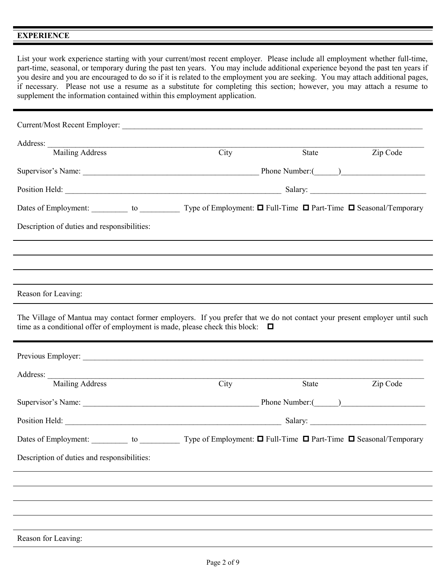#### **EXPERIENCE**

List your work experience starting with your current/most recent employer. Please include all employment whether full-time, part-time, seasonal, or temporary during the past ten years. You may include additional experience beyond the past ten years if you desire and you are encouraged to do so if it is related to the employment you are seeking. You may attach additional pages, if necessary. Please not use a resume as a substitute for completing this section; however, you may attach a resume to supplement the information contained within this employment application.

| Current/Most Recent Employer:                                                                                                                                                                                                  |                   |                                                                                  |          |  |
|--------------------------------------------------------------------------------------------------------------------------------------------------------------------------------------------------------------------------------|-------------------|----------------------------------------------------------------------------------|----------|--|
| Address: Mailing Address (National Address Contract of Mailing Address Contract of Contract of Contract of Contract of Contract of Contract of Contract of Contract of Contract of Contract of Contract of Contract of Contrac | $\overline{City}$ | State                                                                            | Zip Code |  |
|                                                                                                                                                                                                                                |                   |                                                                                  |          |  |
|                                                                                                                                                                                                                                |                   |                                                                                  |          |  |
|                                                                                                                                                                                                                                |                   |                                                                                  |          |  |
| Description of duties and responsibilities:                                                                                                                                                                                    |                   |                                                                                  |          |  |
|                                                                                                                                                                                                                                |                   |                                                                                  |          |  |
|                                                                                                                                                                                                                                |                   |                                                                                  |          |  |
| Reason for Leaving:                                                                                                                                                                                                            |                   |                                                                                  |          |  |
| The Village of Mantua may contact former employers. If you prefer that we do not contact your present employer until such<br>time as a conditional offer of employment is made, please check this block: $\Box$                |                   | ,我们也不会有什么。""我们的人,我们也不会有什么?""我们的人,我们也不会有什么?""我们的人,我们也不会有什么?""我们的人,我们也不会有什么?""我们的人 |          |  |
|                                                                                                                                                                                                                                |                   |                                                                                  |          |  |
|                                                                                                                                                                                                                                |                   |                                                                                  |          |  |
| Mailing Address                                                                                                                                                                                                                | City              | State                                                                            | Zip Code |  |
|                                                                                                                                                                                                                                |                   |                                                                                  |          |  |
| Dates of Employment:<br>to                                                                                                                                                                                                     |                   | Type of Employment: $\Box$ Full-Time $\Box$ Part-Time $\Box$ Seasonal/Temporary  |          |  |
| Description of duties and responsibilities:                                                                                                                                                                                    |                   |                                                                                  |          |  |
|                                                                                                                                                                                                                                |                   |                                                                                  |          |  |
|                                                                                                                                                                                                                                |                   |                                                                                  |          |  |
|                                                                                                                                                                                                                                |                   |                                                                                  |          |  |
| Reason for Leaving:                                                                                                                                                                                                            |                   |                                                                                  |          |  |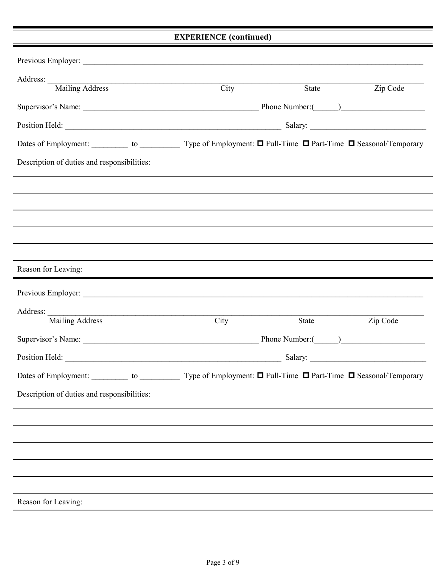## **EXPERIENCE (continued)**

| Mailing Address                                                                                                                                                                                                               | City                                                             | State | Zip Code |
|-------------------------------------------------------------------------------------------------------------------------------------------------------------------------------------------------------------------------------|------------------------------------------------------------------|-------|----------|
|                                                                                                                                                                                                                               |                                                                  |       |          |
|                                                                                                                                                                                                                               |                                                                  |       |          |
|                                                                                                                                                                                                                               |                                                                  |       |          |
| Description of duties and responsibilities:                                                                                                                                                                                   |                                                                  |       |          |
|                                                                                                                                                                                                                               |                                                                  |       |          |
|                                                                                                                                                                                                                               |                                                                  |       |          |
|                                                                                                                                                                                                                               |                                                                  |       |          |
|                                                                                                                                                                                                                               |                                                                  |       |          |
|                                                                                                                                                                                                                               |                                                                  |       |          |
| Reason for Leaving:                                                                                                                                                                                                           |                                                                  |       |          |
| Previous Employer: University of the Contract of the Contract of the Contract of the Contract of the Contract of the Contract of the Contract of the Contract of the Contract of the Contract of the Contract of the Contract |                                                                  |       |          |
| Address:<br><u> 1989 - Johann Stein, fransk politiker (d. 1989)</u>                                                                                                                                                           |                                                                  |       |          |
| <b>Mailing Address</b>                                                                                                                                                                                                        | City                                                             | State | Zip Code |
|                                                                                                                                                                                                                               |                                                                  |       |          |
|                                                                                                                                                                                                                               |                                                                  |       |          |
| Dates of Employment: to to                                                                                                                                                                                                    | Type of Employment: □ Full-Time □ Part-Time □ Seasonal/Temporary |       |          |
| Description of duties and responsibilities:                                                                                                                                                                                   |                                                                  |       |          |
|                                                                                                                                                                                                                               |                                                                  |       |          |
|                                                                                                                                                                                                                               |                                                                  |       |          |
|                                                                                                                                                                                                                               |                                                                  |       |          |
|                                                                                                                                                                                                                               |                                                                  |       |          |
|                                                                                                                                                                                                                               |                                                                  |       |          |
|                                                                                                                                                                                                                               |                                                                  |       |          |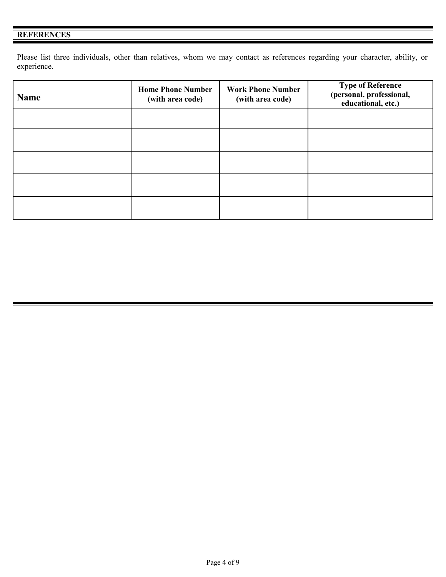# **REFERENCES**

Please list three individuals, other than relatives, whom we may contact as references regarding your character, ability, or experience.

| <b>Name</b> | <b>Home Phone Number</b><br>(with area code) | <b>Work Phone Number</b><br>(with area code) | <b>Type of Reference</b><br>(personal, professional,<br>educational, etc.) |
|-------------|----------------------------------------------|----------------------------------------------|----------------------------------------------------------------------------|
|             |                                              |                                              |                                                                            |
|             |                                              |                                              |                                                                            |
|             |                                              |                                              |                                                                            |
|             |                                              |                                              |                                                                            |
|             |                                              |                                              |                                                                            |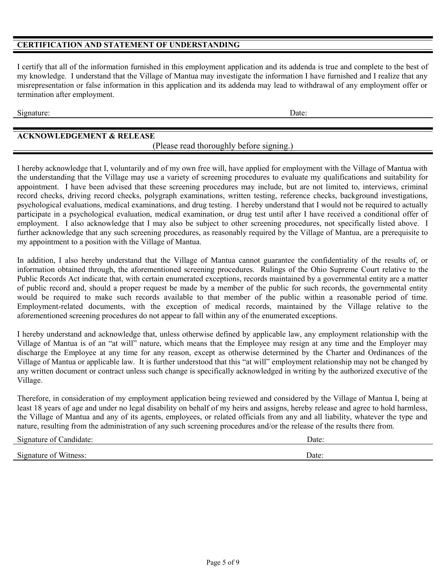## **CERTIFICATION AND STATEMENT OF UNDERSTANDING**

I certify that all of the information furnished in this employment application and its addenda is true and complete to the best of my knowledge. I understand that the Village of Mantua may investigate the information I have furnished and I realize that any misrepresentation or false information in this application and its addenda may lead to withdrawal of any employment offer or termination after employment.

Signature: Date:

## **ACKNOWLEDGEMENT & RELEASE**

(Please read thoroughly before signing.)

I hereby acknowledge that I, voluntarily and of my own free will, have applied for employment with the Village of Mantua with the understanding that the Village may use a variety of screening procedures to evaluate my qualifications and suitability for appointment. I have been advised that these screening procedures may include, but are not limited to, interviews, criminal record checks, driving record checks, polygraph examinations, written testing, reference checks, background investigations, psychological evaluations, medical examinations, and drug testing. I hereby understand that I would not be required to actually participate in a psychological evaluation, medical examination, or drug test until after I have received a conditional offer of employment. I also acknowledge that I may also be subject to other screening procedures, not specifically listed above. I further acknowledge that any such screening procedures, as reasonably required by the Village of Mantua, are a prerequisite to my appointment to a position with the Village of Mantua.

In addition, I also hereby understand that the Village of Mantua cannot guarantee the confidentiality of the results of, or information obtained through, the aforementioned screening procedures. Rulings of the Ohio Supreme Court relative to the Public Records Act indicate that, with certain enumerated exceptions, records maintained by a governmental entity are a matter of public record and, should a proper request be made by a member of the public for such records, the governmental entity would be required to make such records available to that member of the public within a reasonable period of time. Employment-related documents, with the exception of medical records, maintained by the Village relative to the aforementioned screening procedures do not appear to fall within any of the enumerated exceptions.

I hereby understand and acknowledge that, unless otherwise defined by applicable law, any employment relationship with the Village of Mantua is of an "at will" nature, which means that the Employee may resign at any time and the Employer may discharge the Employee at any time for any reason, except as otherwise determined by the Charter and Ordinances of the Village of Mantua or applicable law. It is further understood that this "at will" employment relationship may not be changed by any written document or contract unless such change is specifically acknowledged in writing by the authorized executive of the Village.

Therefore, in consideration of my employment application being reviewed and considered by the Village of Mantua I, being at least 18 years of age and under no legal disability on behalf of my heirs and assigns, hereby release and agree to hold harmless, the Village of Mantua and any of its agents, employees, or related officials from any and all liability, whatever the type and nature, resulting from the administration of any such screening procedures and/or the release of the results there from.

| $\sim\cdot$<br>andidate:<br>Signature of         | Date: |
|--------------------------------------------------|-------|
| $\sim$<br>T T T<br>Signature of<br>itness:<br>۱A | Date: |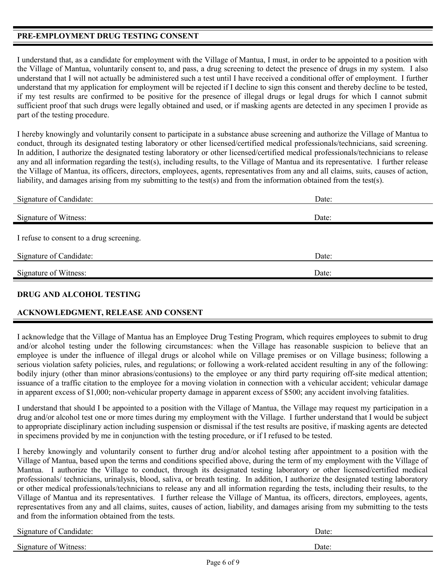## **PRE-EMPLOYMENT DRUG TESTING CONSENT**

I understand that, as a candidate for employment with the Village of Mantua, I must, in order to be appointed to a position with the Village of Mantua, voluntarily consent to, and pass, a drug screening to detect the presence of drugs in my system. I also understand that I will not actually be administered such a test until I have received a conditional offer of employment. I further understand that my application for employment will be rejected if I decline to sign this consent and thereby decline to be tested, if my test results are confirmed to be positive for the presence of illegal drugs or legal drugs for which I cannot submit sufficient proof that such drugs were legally obtained and used, or if masking agents are detected in any specimen I provide as part of the testing procedure.

I hereby knowingly and voluntarily consent to participate in a substance abuse screening and authorize the Village of Mantua to conduct, through its designated testing laboratory or other licensed/certified medical professionals/technicians, said screening. In addition, I authorize the designated testing laboratory or other licensed/certified medical professionals/technicians to release any and all information regarding the test(s), including results, to the Village of Mantua and its representative. I further release the Village of Mantua, its officers, directors, employees, agents, representatives from any and all claims, suits, causes of action, liability, and damages arising from my submitting to the test(s) and from the information obtained from the test(s).

| Signature of Candidate:                  | Date: |
|------------------------------------------|-------|
|                                          |       |
| Signature of Witness:                    | Date: |
|                                          |       |
| I refuse to consent to a drug screening. |       |
|                                          |       |
| Signature of Candidate:                  | Date: |
|                                          |       |
| Signature of Witness:                    | Date: |

## **DRUG AND ALCOHOL TESTING**

## **ACKNOWLEDGMENT, RELEASE AND CONSENT**

I acknowledge that the Village of Mantua has an Employee Drug Testing Program, which requires employees to submit to drug and/or alcohol testing under the following circumstances: when the Village has reasonable suspicion to believe that an employee is under the influence of illegal drugs or alcohol while on Village premises or on Village business; following a serious violation safety policies, rules, and regulations; or following a work-related accident resulting in any of the following: bodily injury (other than minor abrasions/contusions) to the employee or any third party requiring off-site medical attention; issuance of a traffic citation to the employee for a moving violation in connection with a vehicular accident; vehicular damage in apparent excess of \$1,000; non-vehicular property damage in apparent excess of \$500; any accident involving fatalities.

I understand that should I be appointed to a position with the Village of Mantua, the Village may request my participation in a drug and/or alcohol test one or more times during my employment with the Village. I further understand that I would be subject to appropriate disciplinary action including suspension or dismissal if the test results are positive, if masking agents are detected in specimens provided by me in conjunction with the testing procedure, or if I refused to be tested.

I hereby knowingly and voluntarily consent to further drug and/or alcohol testing after appointment to a position with the Village of Mantua, based upon the terms and conditions specified above, during the term of my employment with the Village of Mantua. I authorize the Village to conduct, through its designated testing laboratory or other licensed/certified medical professionals/ technicians, urinalysis, blood, saliva, or breath testing. In addition, I authorize the designated testing laboratory or other medical professionals/technicians to release any and all information regarding the tests, including their results, to the Village of Mantua and its representatives. I further release the Village of Mantua, its officers, directors, employees, agents, representatives from any and all claims, suites, causes of action, liability, and damages arising from my submitting to the tests and from the information obtained from the tests.

| Signature of C<br>.<br>andidate: | Date. |
|----------------------------------|-------|
| Signature of Witness:            | Date: |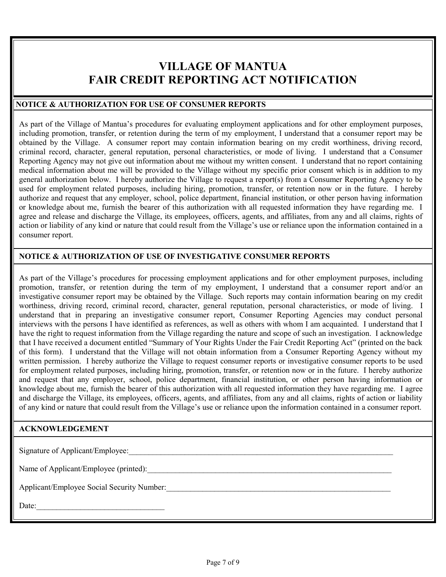# **VILLAGE OF MANTUA FAIR CREDIT REPORTING ACT NOTIFICATION**

#### **NOTICE & AUTHORIZATION FOR USE OF CONSUMER REPORTS**

As part of the Village of Mantua's procedures for evaluating employment applications and for other employment purposes, including promotion, transfer, or retention during the term of my employment, I understand that a consumer report may be obtained by the Village. A consumer report may contain information bearing on my credit worthiness, driving record, criminal record, character, general reputation, personal characteristics, or mode of living. I understand that a Consumer Reporting Agency may not give out information about me without my written consent. I understand that no report containing medical information about me will be provided to the Village without my specific prior consent which is in addition to my general authorization below. I hereby authorize the Village to request a report(s) from a Consumer Reporting Agency to be used for employment related purposes, including hiring, promotion, transfer, or retention now or in the future. I hereby authorize and request that any employer, school, police department, financial institution, or other person having information or knowledge about me, furnish the bearer of this authorization with all requested information they have regarding me. I agree and release and discharge the Village, its employees, officers, agents, and affiliates, from any and all claims, rights of action or liability of any kind or nature that could result from the Village's use or reliance upon the information contained in a consumer report.

#### **NOTICE & AUTHORIZATION OF USE OF INVESTIGATIVE CONSUMER REPORTS**

As part of the Village's procedures for processing employment applications and for other employment purposes, including promotion, transfer, or retention during the term of my employment, I understand that a consumer report and/or an investigative consumer report may be obtained by the Village. Such reports may contain information bearing on my credit worthiness, driving record, criminal record, character, general reputation, personal characteristics, or mode of living. I understand that in preparing an investigative consumer report, Consumer Reporting Agencies may conduct personal interviews with the persons I have identified as references, as well as others with whom I am acquainted. I understand that I have the right to request information from the Village regarding the nature and scope of such an investigation. I acknowledge that I have received a document entitled "Summary of Your Rights Under the Fair Credit Reporting Act" (printed on the back of this form). I understand that the Village will not obtain information from a Consumer Reporting Agency without my written permission. I hereby authorize the Village to request consumer reports or investigative consumer reports to be used for employment related purposes, including hiring, promotion, transfer, or retention now or in the future. I hereby authorize and request that any employer, school, police department, financial institution, or other person having information or knowledge about me, furnish the bearer of this authorization with all requested information they have regarding me. I agree and discharge the Village, its employees, officers, agents, and affiliates, from any and all claims, rights of action or liability of any kind or nature that could result from the Village's use or reliance upon the information contained in a consumer report.

#### **ACKNOWLEDGEMENT**

Signature of Applicant/Employee:

Name of Applicant/Employee (printed):

Applicant/Employee Social Security Number:

Date: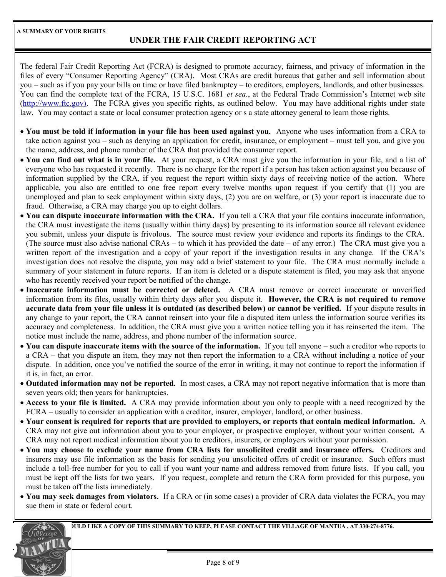#### **A SUMMARY OF YOUR RIGHTS**

#### **UNDER THE FAIR CREDIT REPORTING ACT**

The federal Fair Credit Reporting Act (FCRA) is designed to promote accuracy, fairness, and privacy of information in the files of every "Consumer Reporting Agency" (CRA). Most CRAs are credit bureaus that gather and sell information about you – such as if you pay your bills on time or have filed bankruptcy – to creditors, employers, landlords, and other businesses. You can find the complete text of the FCRA, 15 U.S.C. 1681 *et sea.*, at the Federal Trade Commission's Internet web site (http://www.ftc.gov). The FCRA gives you specific rights, as outlined below. You may have additional rights under state law. You may contact a state or local consumer protection agency or s a state attorney general to learn those rights.

- **You must be told if information in your file has been used against you.** Anyone who uses information from a CRA to take action against you – such as denying an application for credit, insurance, or employment – must tell you, and give you the name, address, and phone number of the CRA that provided the consumer report.
- **You can find out what is in your file.** At your request, a CRA must give you the information in your file, and a list of everyone who has requested it recently. There is no charge for the report if a person has taken action against you because of information supplied by the CRA, if you request the report within sixty days of receiving notice of the action. Where applicable, you also are entitled to one free report every twelve months upon request if you certify that (1) you are unemployed and plan to seek employment within sixty days, (2) you are on welfare, or (3) your report is inaccurate due to fraud. Otherwise, a CRA may charge you up to eight dollars.
- **You can dispute inaccurate information with the CRA.** If you tell a CRA that your file contains inaccurate information, the CRA must investigate the items (usually within thirty days) by presenting to its information source all relevant evidence you submit, unless your dispute is frivolous. The source must review your evidence and reports its findings to the CRA. (The source must also advise national CRAs – to which it has provided the date – of any error.) The CRA must give you a written report of the investigation and a copy of your report if the investigation results in any change. If the CRA's investigation does not resolve the dispute, you may add a brief statement to your file. The CRA must normally include a summary of your statement in future reports. If an item is deleted or a dispute statement is filed, you may ask that anyone who has recently received your report be notified of the change.
- **Inaccurate information must be corrected or deleted.** A CRA must remove or correct inaccurate or unverified information from its files, usually within thirty days after you dispute it. **However, the CRA is not required to remove accurate data from your file unless it is outdated (as described below) or cannot be verified.** If your dispute results in any change to your report, the CRA cannot reinsert into your file a disputed item unless the information source verifies its accuracy and completeness. In addition, the CRA must give you a written notice telling you it has reinserted the item. The notice must include the name, address, and phone number of the information source.
- **You can dispute inaccurate items with the source of the information.** If you tell anyone such a creditor who reports to a CRA – that you dispute an item, they may not then report the information to a CRA without including a notice of your dispute. In addition, once you've notified the source of the error in writing, it may not continue to report the information if it is, in fact, an error.
- **Outdated information may not be reported.** In most cases, a CRA may not report negative information that is more than seven years old; then years for bankruptcies.
- **Access to your file is limited.** A CRA may provide information about you only to people with a need recognized by the FCRA – usually to consider an application with a creditor, insurer, employer, landlord, or other business.
- **Your consent is required for reports that are provided to employers, or reports that contain medical information.** A CRA may not give out information about you to your employer, or prospective employer, without your written consent. A CRA may not report medical information about you to creditors, insurers, or employers without your permission.
- **You may choose to exclude your name from CRA lists for unsolicited credit and insurance offers.** Creditors and insurers may use file information as the basis for sending you unsolicited offers of credit or insurance. Such offers must include a toll-free number for you to call if you want your name and address removed from future lists. If you call, you must be kept off the lists for two years. If you request, complete and return the CRA form provided for this purpose, you must be taken off the lists immediately.
- **You may seek damages from violators.** If a CRA or (in some cases) a provider of CRA data violates the FCRA, you may sue them in state or federal court.



**IULD LIKE A COPY OF THIS SUMMARY TO KEEP, PLEASE CONTACT THE VILLAGE OF MANTUA, AT 330-274-8776.**